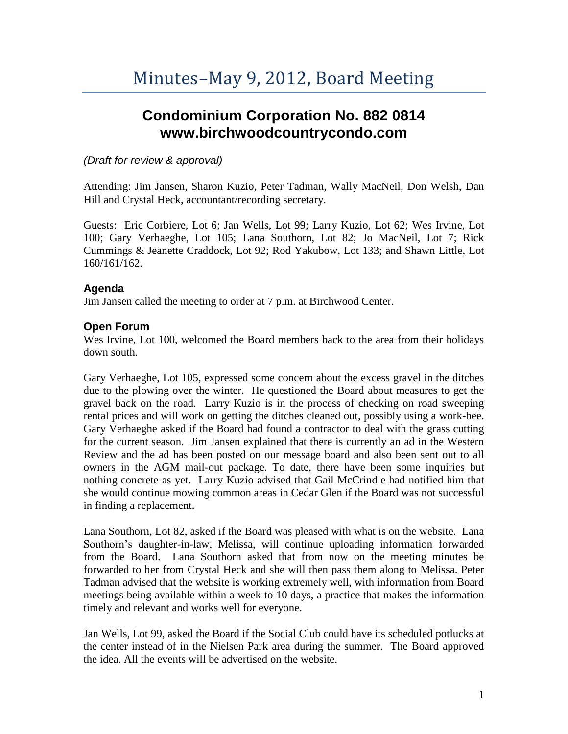# **Condominium Corporation No. 882 0814 www.birchwoodcountrycondo.com**

## *(Draft for review & approval)*

Attending: Jim Jansen, Sharon Kuzio, Peter Tadman, Wally MacNeil, Don Welsh, Dan Hill and Crystal Heck, accountant/recording secretary.

Guests: Eric Corbiere, Lot 6; Jan Wells, Lot 99; Larry Kuzio, Lot 62; Wes Irvine, Lot 100; Gary Verhaeghe, Lot 105; Lana Southorn, Lot 82; Jo MacNeil, Lot 7; Rick Cummings & Jeanette Craddock, Lot 92; Rod Yakubow, Lot 133; and Shawn Little, Lot 160/161/162.

# **Agenda**

Jim Jansen called the meeting to order at 7 p.m. at Birchwood Center.

# **Open Forum**

Wes Irvine, Lot 100, welcomed the Board members back to the area from their holidays down south.

Gary Verhaeghe, Lot 105, expressed some concern about the excess gravel in the ditches due to the plowing over the winter. He questioned the Board about measures to get the gravel back on the road. Larry Kuzio is in the process of checking on road sweeping rental prices and will work on getting the ditches cleaned out, possibly using a work-bee. Gary Verhaeghe asked if the Board had found a contractor to deal with the grass cutting for the current season. Jim Jansen explained that there is currently an ad in the Western Review and the ad has been posted on our message board and also been sent out to all owners in the AGM mail-out package. To date, there have been some inquiries but nothing concrete as yet. Larry Kuzio advised that Gail McCrindle had notified him that she would continue mowing common areas in Cedar Glen if the Board was not successful in finding a replacement.

Lana Southorn, Lot 82, asked if the Board was pleased with what is on the website. Lana Southorn's daughter-in-law, Melissa, will continue uploading information forwarded from the Board. Lana Southorn asked that from now on the meeting minutes be forwarded to her from Crystal Heck and she will then pass them along to Melissa. Peter Tadman advised that the website is working extremely well, with information from Board meetings being available within a week to 10 days, a practice that makes the information timely and relevant and works well for everyone.

Jan Wells, Lot 99, asked the Board if the Social Club could have its scheduled potlucks at the center instead of in the Nielsen Park area during the summer. The Board approved the idea. All the events will be advertised on the website.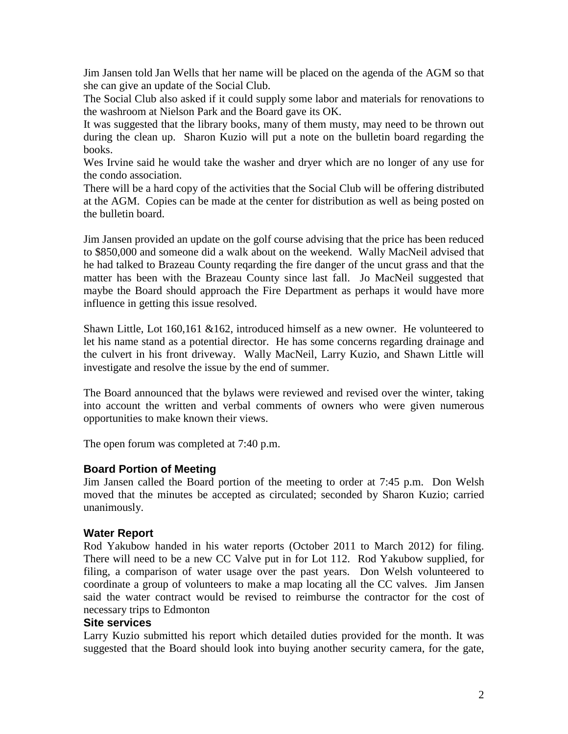Jim Jansen told Jan Wells that her name will be placed on the agenda of the AGM so that she can give an update of the Social Club.

The Social Club also asked if it could supply some labor and materials for renovations to the washroom at Nielson Park and the Board gave its OK.

It was suggested that the library books, many of them musty, may need to be thrown out during the clean up. Sharon Kuzio will put a note on the bulletin board regarding the books.

Wes Irvine said he would take the washer and dryer which are no longer of any use for the condo association.

There will be a hard copy of the activities that the Social Club will be offering distributed at the AGM. Copies can be made at the center for distribution as well as being posted on the bulletin board.

Jim Jansen provided an update on the golf course advising that the price has been reduced to \$850,000 and someone did a walk about on the weekend. Wally MacNeil advised that he had talked to Brazeau County reqarding the fire danger of the uncut grass and that the matter has been with the Brazeau County since last fall. Jo MacNeil suggested that maybe the Board should approach the Fire Department as perhaps it would have more influence in getting this issue resolved.

Shawn Little, Lot 160,161 &162, introduced himself as a new owner. He volunteered to let his name stand as a potential director. He has some concerns regarding drainage and the culvert in his front driveway. Wally MacNeil, Larry Kuzio, and Shawn Little will investigate and resolve the issue by the end of summer.

The Board announced that the bylaws were reviewed and revised over the winter, taking into account the written and verbal comments of owners who were given numerous opportunities to make known their views.

The open forum was completed at 7:40 p.m.

## **Board Portion of Meeting**

Jim Jansen called the Board portion of the meeting to order at 7:45 p.m. Don Welsh moved that the minutes be accepted as circulated; seconded by Sharon Kuzio; carried unanimously.

#### **Water Report**

Rod Yakubow handed in his water reports (October 2011 to March 2012) for filing. There will need to be a new CC Valve put in for Lot 112. Rod Yakubow supplied, for filing, a comparison of water usage over the past years. Don Welsh volunteered to coordinate a group of volunteers to make a map locating all the CC valves. Jim Jansen said the water contract would be revised to reimburse the contractor for the cost of necessary trips to Edmonton

#### **Site services**

Larry Kuzio submitted his report which detailed duties provided for the month. It was suggested that the Board should look into buying another security camera, for the gate,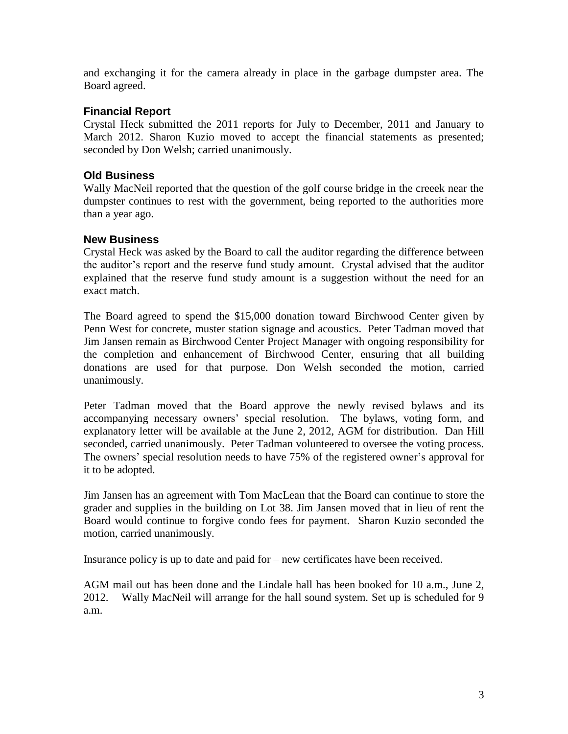and exchanging it for the camera already in place in the garbage dumpster area. The Board agreed.

### **Financial Report**

Crystal Heck submitted the 2011 reports for July to December, 2011 and January to March 2012. Sharon Kuzio moved to accept the financial statements as presented; seconded by Don Welsh; carried unanimously.

#### **Old Business**

Wally MacNeil reported that the question of the golf course bridge in the creeek near the dumpster continues to rest with the government, being reported to the authorities more than a year ago.

#### **New Business**

Crystal Heck was asked by the Board to call the auditor regarding the difference between the auditor's report and the reserve fund study amount. Crystal advised that the auditor explained that the reserve fund study amount is a suggestion without the need for an exact match.

The Board agreed to spend the \$15,000 donation toward Birchwood Center given by Penn West for concrete, muster station signage and acoustics. Peter Tadman moved that Jim Jansen remain as Birchwood Center Project Manager with ongoing responsibility for the completion and enhancement of Birchwood Center, ensuring that all building donations are used for that purpose. Don Welsh seconded the motion, carried unanimously.

Peter Tadman moved that the Board approve the newly revised bylaws and its accompanying necessary owners' special resolution. The bylaws, voting form, and explanatory letter will be available at the June 2, 2012, AGM for distribution. Dan Hill seconded, carried unanimously. Peter Tadman volunteered to oversee the voting process. The owners' special resolution needs to have 75% of the registered owner's approval for it to be adopted.

Jim Jansen has an agreement with Tom MacLean that the Board can continue to store the grader and supplies in the building on Lot 38. Jim Jansen moved that in lieu of rent the Board would continue to forgive condo fees for payment. Sharon Kuzio seconded the motion, carried unanimously.

Insurance policy is up to date and paid for – new certificates have been received.

AGM mail out has been done and the Lindale hall has been booked for 10 a.m., June 2, 2012. Wally MacNeil will arrange for the hall sound system. Set up is scheduled for 9 a.m.